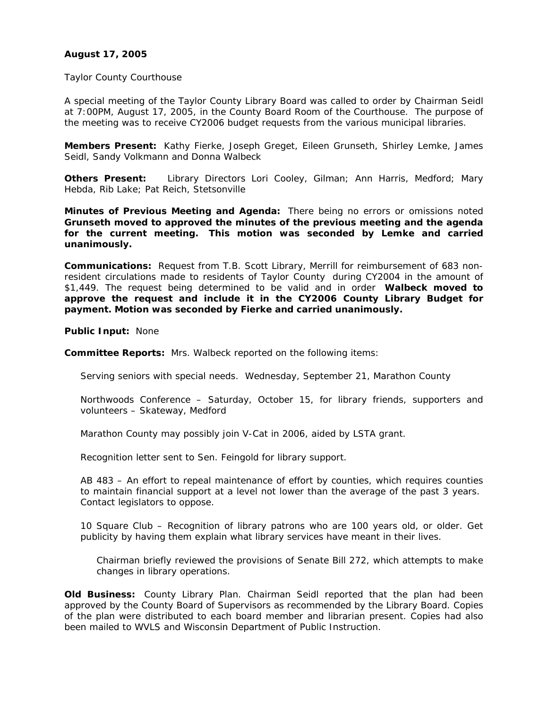# **August 17, 2005**

#### Taylor County Courthouse

A special meeting of the Taylor County Library Board was called to order by Chairman Seidl at 7:00PM, August 17, 2005, in the County Board Room of the Courthouse. The purpose of the meeting was to receive CY2006 budget requests from the various municipal libraries.

**Members Present:** Kathy Fierke, Joseph Greget, Eileen Grunseth, Shirley Lemke, James Seidl, Sandy Volkmann and Donna Walbeck

**Others Present:** Library Directors Lori Cooley, Gilman; Ann Harris, Medford; Mary Hebda, Rib Lake; Pat Reich, Stetsonville

**Minutes of Previous Meeting and Agenda:** There being no errors or omissions noted **Grunseth moved to approved the minutes of the previous meeting and the agenda for the current meeting. This motion was seconded by Lemke and carried unanimously.** 

**Communications:** Request from T.B. Scott Library, Merrill for reimbursement of 683 nonresident circulations made to residents of Taylor County during CY2004 in the amount of \$1,449. The request being determined to be valid and in order **Walbeck moved to approve the request and include it in the CY2006 County Library Budget for payment. Motion was seconded by Fierke and carried unanimously.** 

**Public Input:** None

**Committee Reports:** Mrs. Walbeck reported on the following items:

Serving seniors with special needs. Wednesday, September 21, Marathon County

Northwoods Conference – Saturday, October 15, for library friends, supporters and volunteers – Skateway, Medford

Marathon County may possibly join V-Cat in 2006, aided by LSTA grant.

Recognition letter sent to Sen. Feingold for library support.

AB 483 – An effort to repeal maintenance of effort by counties, which requires counties to maintain financial support at a level not lower than the average of the past 3 years. Contact legislators to oppose.

10 Square Club – Recognition of library patrons who are 100 years old, or older. Get publicity by having them explain what library services have meant in their lives.

Chairman briefly reviewed the provisions of Senate Bill 272, which attempts to make changes in library operations.

**Old Business:** County Library Plan. Chairman Seidl reported that the plan had been approved by the County Board of Supervisors as recommended by the Library Board. Copies of the plan were distributed to each board member and librarian present. Copies had also been mailed to WVLS and Wisconsin Department of Public Instruction.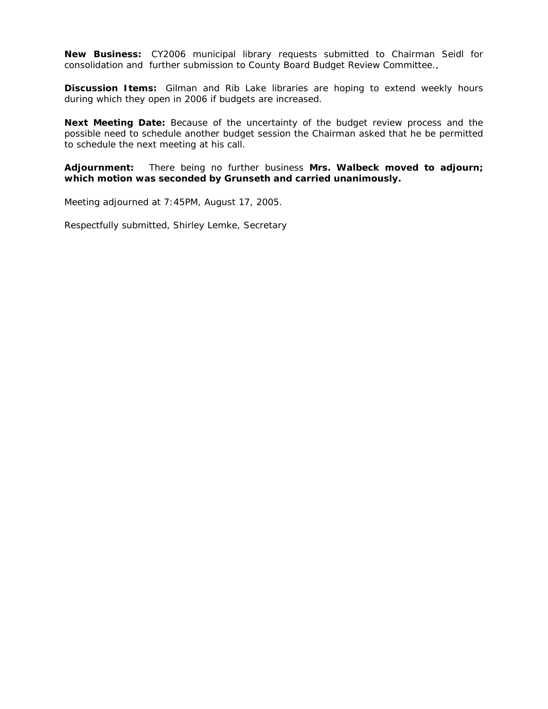**New Business:** CY2006 municipal library requests submitted to Chairman Seidl for consolidation and further submission to County Board Budget Review Committee.,

**Discussion Items:** Gilman and Rib Lake libraries are hoping to extend weekly hours during which they open in 2006 if budgets are increased.

**Next Meeting Date:** Because of the uncertainty of the budget review process and the possible need to schedule another budget session the Chairman asked that he be permitted to schedule the next meeting at his call.

**Adjournment:** There being no further business **Mrs. Walbeck moved to adjourn; which motion was seconded by Grunseth and carried unanimously.**

Meeting adjourned at 7:45PM, August 17, 2005.

Respectfully submitted, Shirley Lemke, Secretary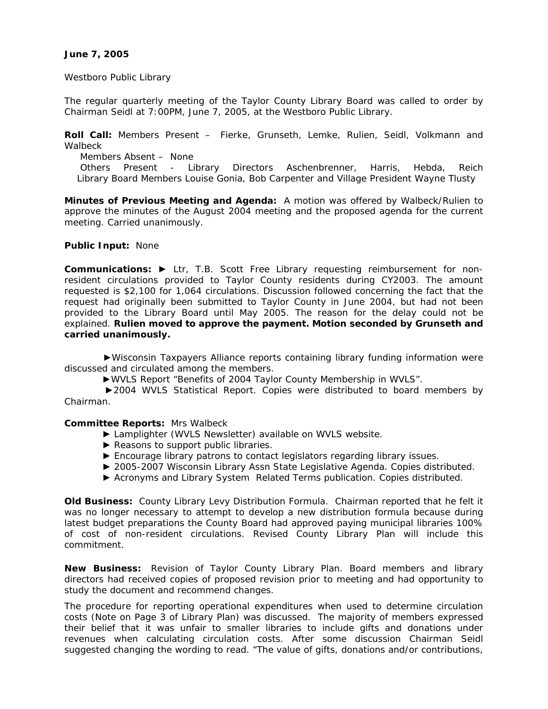## **June 7, 2005**

Westboro Public Library

The regular quarterly meeting of the Taylor County Library Board was called to order by Chairman Seidl at 7:00PM, June 7, 2005, at the Westboro Public Library.

**Roll Call:** Members Present – Fierke, Grunseth, Lemke, Rulien, Seidl, Volkmann and Walbeck

 Members Absent – None Others Present - Library Directors Aschenbrenner, Harris, Hebda, Reich Library Board Members Louise Gonia, Bob Carpenter and Village President Wayne Tlusty

**Minutes of Previous Meeting and Agenda:** A motion was offered by Walbeck/Rulien to approve the minutes of the August 2004 meeting and the proposed agenda for the current meeting. Carried unanimously.

#### **Public Input:** None

**Communications: ►** Ltr, T.B. Scott Free Library requesting reimbursement for nonresident circulations provided to Taylor County residents during CY2003. The amount requested is \$2,100 for 1,064 circulations. Discussion followed concerning the fact that the request had originally been submitted to Taylor County in June 2004, but had not been provided to the Library Board until May 2005. The reason for the delay could not be explained. **Rulien moved to approve the payment. Motion seconded by Grunseth and carried unanimously.**

 ►Wisconsin Taxpayers Alliance reports containing library funding information were discussed and circulated among the members.

►WVLS Report "Benefits of 2004 Taylor County Membership in WVLS".

 ►2004 WVLS Statistical Report. Copies were distributed to board members by Chairman.

#### **Committee Reports:** Mrs Walbeck

- ► Lamplighter (WVLS Newsletter) available on WVLS website.
- ► Reasons to support public libraries.
- ► Encourage library patrons to contact legislators regarding library issues.
- ▶ 2005-2007 Wisconsin Library Assn State Legislative Agenda. Copies distributed.
- ► Acronyms and Library System Related Terms publication. Copies distributed.

**Old Business:** County Library Levy Distribution Formula. Chairman reported that he felt it was no longer necessary to attempt to develop a new distribution formula because during latest budget preparations the County Board had approved paying municipal libraries 100% of cost of non-resident circulations. Revised County Library Plan will include this commitment.

**New Business:** Revision of Taylor County Library Plan. Board members and library directors had received copies of proposed revision prior to meeting and had opportunity to study the document and recommend changes.

The procedure for reporting operational expenditures when used to determine circulation costs (Note on Page 3 of Library Plan) was discussed. The majority of members expressed their belief that it was unfair to smaller libraries to include gifts and donations under revenues when calculating circulation costs. After some discussion Chairman Seidl suggested changing the wording to read. "The value of gifts, donations and/or contributions,